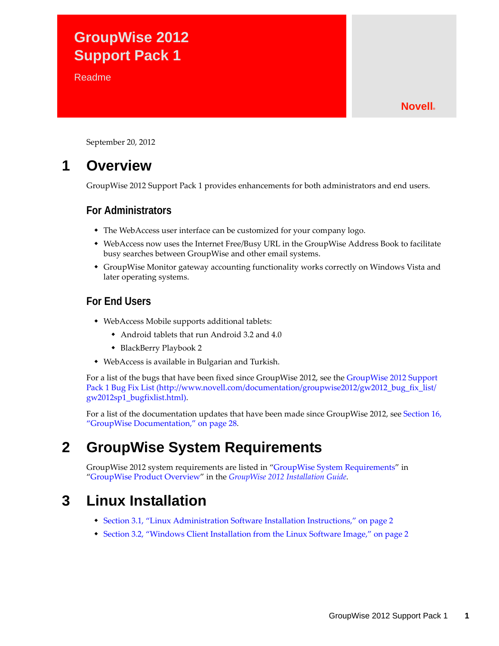# **GroupWise 2012 Support Pack 1**

**Readme** 

#### **Novell®**

September 20, 2012

## **1 Overview**

GroupWise 2012 Support Pack 1 provides enhancements for both administrators and end users.

### **For Administrators**

- The WebAccess user interface can be customized for your company logo.
- WebAccess now uses the Internet Free/Busy URL in the GroupWise Address Book to facilitate busy searches between GroupWise and other email systems.
- GroupWise Monitor gateway accounting functionality works correctly on Windows Vista and later operating systems.

## **For End Users**

- WebAccess Mobile supports additional tablets:
	- Android tablets that run Android 3.2 and 4.0
	- BlackBerry Playbook 2
- WebAccess is available in Bulgarian and Turkish.

For a list of the bugs that have been fixed since GroupWise 2012, see the [GroupWise 2012 Support](http://www.novell.com/documentation/groupwise2012/gw2012_bug_fix_list/gw2012sp1_bugfixlist.html)  [Pack 1 Bug Fix List](http://www.novell.com/documentation/groupwise2012/gw2012_bug_fix_list/gw2012sp1_bugfixlist.html) (http://www.novell.com/documentation/groupwise2012/gw2012\_bug\_fix\_list/ gw2012sp1\_bugfixlist.html).

For a list of the documentation updates that have been made since GroupWise 2012, see [Section 16,](#page-27-0)  ["GroupWise Documentation," on page 28.](#page-27-0)

## **2 GroupWise System Requirements**

GroupWise 2012 system requirements are listed in "GroupWise System Requirements" in "GroupWise Product Overview" in the *GroupWise 2012 Installation Guide*.

## **3 Linux Installation**

- [Section 3.1, "Linux Administration Software Installation Instructions," on page 2](#page-1-0)
- [Section 3.2, "Windows Client Installation from the Linux Software Image," on page 2](#page-1-1)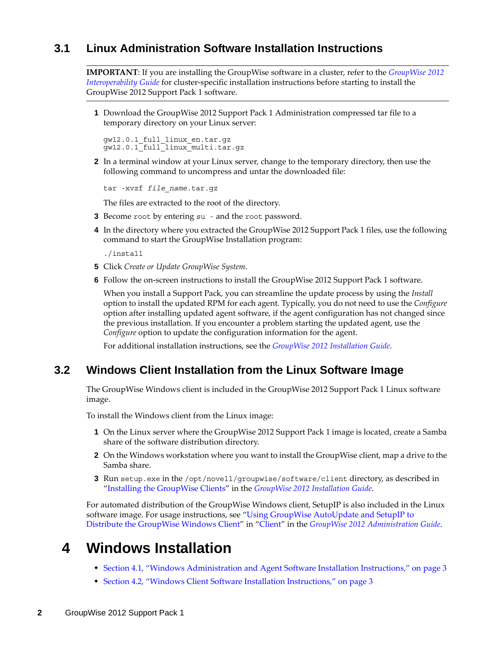## <span id="page-1-0"></span>**3.1 Linux Administration Software Installation Instructions**

**IMPORTANT**: If you are installing the GroupWise software in a cluster, refer to the *GroupWise 2012 Interoperability Guide* for cluster-specific installation instructions before starting to install the GroupWise 2012 Support Pack 1 software.

**1** Download the GroupWise 2012 Support Pack 1 Administration compressed tar file to a temporary directory on your Linux server:

gw12.0.1\_full\_linux\_en.tar.gz gw12.0.1\_full\_linux\_multi.tar.gz

**2** In a terminal window at your Linux server, change to the temporary directory, then use the following command to uncompress and untar the downloaded file:

tar -xvzf *file\_name*.tar.gz

The files are extracted to the root of the directory.

- **3** Become root by entering su and the root password.
- **4** In the directory where you extracted the GroupWise 2012 Support Pack 1 files, use the following command to start the GroupWise Installation program:

./install

- **5** Click *Create or Update GroupWise System*.
- **6** Follow the on-screen instructions to install the GroupWise 2012 Support Pack 1 software.

When you install a Support Pack, you can streamline the update process by using the *Install* option to install the updated RPM for each agent. Typically, you do not need to use the *Configure* option after installing updated agent software, if the agent configuration has not changed since the previous installation. If you encounter a problem starting the updated agent, use the *Configure* option to update the configuration information for the agent.

For additional installation instructions, see the *GroupWise 2012 Installation Guide*.

## <span id="page-1-1"></span>**3.2 Windows Client Installation from the Linux Software Image**

The GroupWise Windows client is included in the GroupWise 2012 Support Pack 1 Linux software image.

To install the Windows client from the Linux image:

- **1** On the Linux server where the GroupWise 2012 Support Pack 1 image is located, create a Samba share of the software distribution directory.
- **2** On the Windows workstation where you want to install the GroupWise client, map a drive to the Samba share.
- **3** Run setup.exe in the /opt/novell/groupwise/software/client directory, as described in "Installing the GroupWise Clients" in the *GroupWise 2012 Installation Guide*.

For automated distribution of the GroupWise Windows client, SetupIP is also included in the Linux software image. For usage instructions, see "Using GroupWise AutoUpdate and SetupIP to Distribute the GroupWise Windows Client" in "Client" in the *GroupWise 2012 Administration Guide*.

# **4 Windows Installation**

- [Section 4.1, "Windows Administration and Agent Software Installation Instructions," on page 3](#page-2-0)
- [Section 4.2, "Windows Client Software Installation Instructions," on page 3](#page-2-1)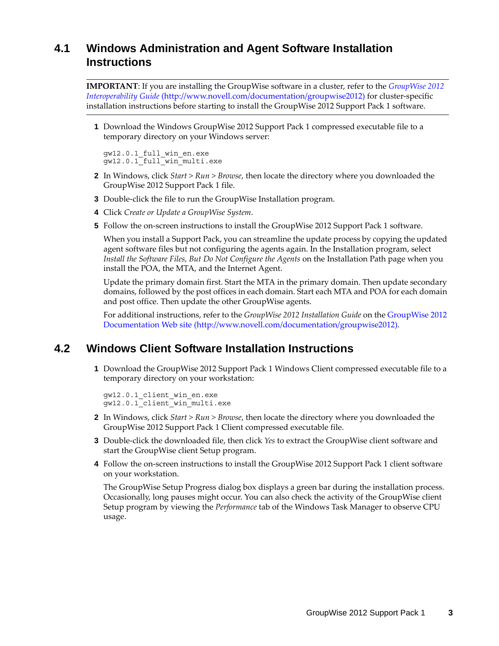## <span id="page-2-0"></span>**4.1 Windows Administration and Agent Software Installation Instructions**

**IMPORTANT**: If you are installing the GroupWise software in a cluster, refer to the *[GroupWise 2012](http://www.novell.com/documentation/groupwise2012)  [Interoperability Guide](http://www.novell.com/documentation/groupwise2012)* (http://www.novell.com/documentation/groupwise2012) for cluster-specific installation instructions before starting to install the GroupWise 2012 Support Pack 1 software.

**1** Download the Windows GroupWise 2012 Support Pack 1 compressed executable file to a temporary directory on your Windows server:

```
gw12.0.1_full_win_en.exe
gw12.0.1_full_win_multi.exe
```
- **2** In Windows, click *Start > Run > Browse*, then locate the directory where you downloaded the GroupWise 2012 Support Pack 1 file.
- **3** Double-click the file to run the GroupWise Installation program.
- **4** Click *Create or Update a GroupWise System*.
- **5** Follow the on-screen instructions to install the GroupWise 2012 Support Pack 1 software.

When you install a Support Pack, you can streamline the update process by copying the updated agent software files but not configuring the agents again. In the Installation program, select *Install the Software Files, But Do Not Configure the Agents* on the Installation Path page when you install the POA, the MTA, and the Internet Agent.

Update the primary domain first. Start the MTA in the primary domain. Then update secondary domains, followed by the post offices in each domain. Start each MTA and POA for each domain and post office. Then update the other GroupWise agents.

For additional instructions, refer to the *GroupWise 2012 Installation Guide* on the [GroupWise 2012](http://www.novell.com/documentation/groupwise2012)  [Documentation Web site](http://www.novell.com/documentation/groupwise2012) (http://www.novell.com/documentation/groupwise2012).

## <span id="page-2-1"></span>**4.2 Windows Client Software Installation Instructions**

**1** Download the GroupWise 2012 Support Pack 1 Windows Client compressed executable file to a temporary directory on your workstation:

```
gw12.0.1_client_win_en.exe
gw12.0.1_client_win_multi.exe
```
- **2** In Windows, click *Start > Run > Browse*, then locate the directory where you downloaded the GroupWise 2012 Support Pack 1 Client compressed executable file.
- **3** Double-click the downloaded file, then click *Yes* to extract the GroupWise client software and start the GroupWise client Setup program.
- **4** Follow the on-screen instructions to install the GroupWise 2012 Support Pack 1 client software on your workstation.

The GroupWise Setup Progress dialog box displays a green bar during the installation process. Occasionally, long pauses might occur. You can also check the activity of the GroupWise client Setup program by viewing the *Performance* tab of the Windows Task Manager to observe CPU usage.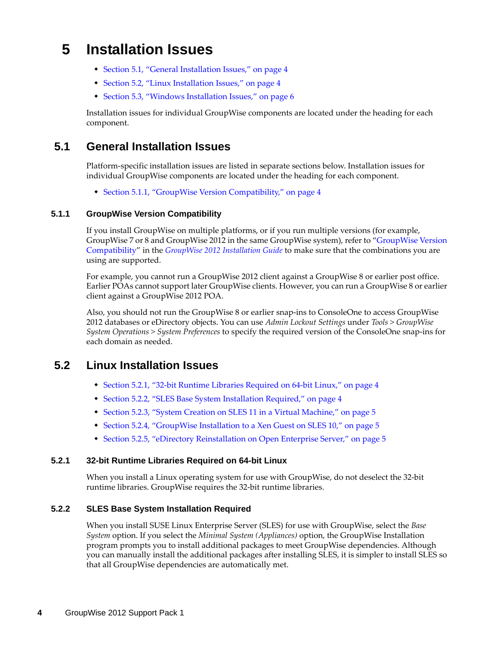# **5 Installation Issues**

- [Section 5.1, "General Installation Issues," on page 4](#page-3-0)
- [Section 5.2, "Linux Installation Issues," on page 4](#page-3-1)
- [Section 5.3, "Windows Installation Issues," on page 6](#page-5-0)

Installation issues for individual GroupWise components are located under the heading for each component.

## <span id="page-3-0"></span>**5.1 General Installation Issues**

Platform-specific installation issues are listed in separate sections below. Installation issues for individual GroupWise components are located under the heading for each component.

• [Section 5.1.1, "GroupWise Version Compatibility," on page 4](#page-3-2)

#### <span id="page-3-2"></span>**5.1.1 GroupWise Version Compatibility**

If you install GroupWise on multiple platforms, or if you run multiple versions (for example, GroupWise 7 or 8 and GroupWise 2012 in the same GroupWise system), refer to "GroupWise Version Compatibility" in the *GroupWise 2012 Installation Guide* to make sure that the combinations you are using are supported.

For example, you cannot run a GroupWise 2012 client against a GroupWise 8 or earlier post office. Earlier POAs cannot support later GroupWise clients. However, you can run a GroupWise 8 or earlier client against a GroupWise 2012 POA.

Also, you should not run the GroupWise 8 or earlier snap-ins to ConsoleOne to access GroupWise 2012 databases or eDirectory objects. You can use *Admin Lockout Settings* under *Tools > GroupWise System Operations > System Preferences* to specify the required version of the ConsoleOne snap-ins for each domain as needed.

## <span id="page-3-1"></span>**5.2 Linux Installation Issues**

- [Section 5.2.1, "32-bit Runtime Libraries Required on 64-bit Linux," on page 4](#page-3-3)
- [Section 5.2.2, "SLES Base System Installation Required," on page 4](#page-3-4)
- [Section 5.2.3, "System Creation on SLES 11 in a Virtual Machine," on page 5](#page-4-0)
- [Section 5.2.4, "GroupWise Installation to a Xen Guest on SLES 10," on page 5](#page-4-1)
- [Section 5.2.5, "eDirectory Reinstallation on Open Enterprise Server," on page 5](#page-4-2)

#### <span id="page-3-3"></span>**5.2.1 32-bit Runtime Libraries Required on 64-bit Linux**

When you install a Linux operating system for use with GroupWise, do not deselect the 32-bit runtime libraries. GroupWise requires the 32-bit runtime libraries.

#### <span id="page-3-4"></span>**5.2.2 SLES Base System Installation Required**

When you install SUSE Linux Enterprise Server (SLES) for use with GroupWise, select the *Base System* option. If you select the *Minimal System (Appliances)* option, the GroupWise Installation program prompts you to install additional packages to meet GroupWise dependencies. Although you can manually install the additional packages after installing SLES, it is simpler to install SLES so that all GroupWise dependencies are automatically met.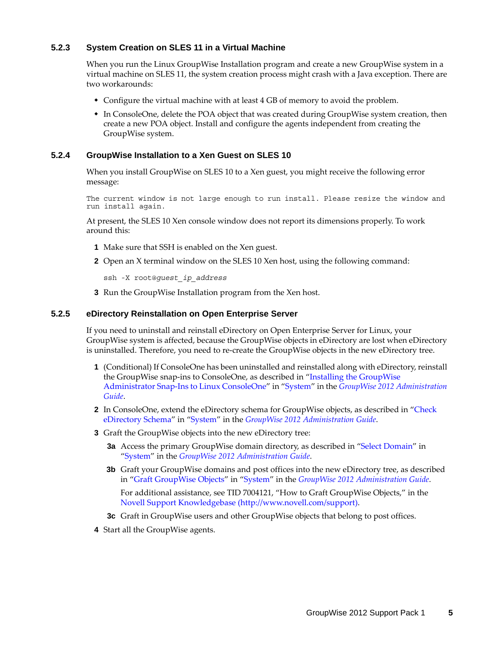#### <span id="page-4-0"></span>**5.2.3 System Creation on SLES 11 in a Virtual Machine**

When you run the Linux GroupWise Installation program and create a new GroupWise system in a virtual machine on SLES 11, the system creation process might crash with a Java exception. There are two workarounds:

- Configure the virtual machine with at least 4 GB of memory to avoid the problem.
- In ConsoleOne, delete the POA object that was created during GroupWise system creation, then create a new POA object. Install and configure the agents independent from creating the GroupWise system.

#### <span id="page-4-1"></span>**5.2.4 GroupWise Installation to a Xen Guest on SLES 10**

When you install GroupWise on SLES 10 to a Xen guest, you might receive the following error message:

The current window is not large enough to run install. Please resize the window and run install again.

At present, the SLES 10 Xen console window does not report its dimensions properly. To work around this:

- **1** Make sure that SSH is enabled on the Xen guest.
- **2** Open an X terminal window on the SLES 10 Xen host, using the following command:

ssh -X root@*guest\_ip\_address*

**3** Run the GroupWise Installation program from the Xen host.

#### <span id="page-4-2"></span>**5.2.5 eDirectory Reinstallation on Open Enterprise Server**

If you need to uninstall and reinstall eDirectory on Open Enterprise Server for Linux, your GroupWise system is affected, because the GroupWise objects in eDirectory are lost when eDirectory is uninstalled. Therefore, you need to re-create the GroupWise objects in the new eDirectory tree.

- **1** (Conditional) If ConsoleOne has been uninstalled and reinstalled along with eDirectory, reinstall the GroupWise snap-ins to ConsoleOne, as described in "Installing the GroupWise Administrator Snap-Ins to Linux ConsoleOne" in "System" in the *GroupWise 2012 Administration Guide*.
- **2** In ConsoleOne, extend the eDirectory schema for GroupWise objects, as described in "Check eDirectory Schema" in "System" in the *GroupWise 2012 Administration Guide*.
- **3** Graft the GroupWise objects into the new eDirectory tree:
	- **3a** Access the primary GroupWise domain directory, as described in "Select Domain" in "System" in the *GroupWise 2012 Administration Guide*.
	- **3b** Graft your GroupWise domains and post offices into the new eDirectory tree, as described in "Graft GroupWise Objects" in "System" in the *GroupWise 2012 Administration Guide*.

For additional assistance, see TID 7004121, "How to Graft GroupWise Objects," in the [Novell Support Knowledgebase](http://www.novell.com/support) (http://www.novell.com/support).

- **3c** Graft in GroupWise users and other GroupWise objects that belong to post offices.
- **4** Start all the GroupWise agents.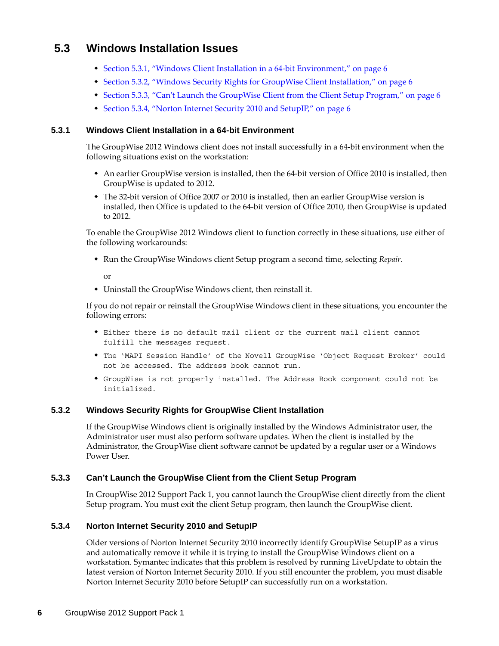## <span id="page-5-0"></span>**5.3 Windows Installation Issues**

- [Section 5.3.1, "Windows Client Installation in a 64-bit Environment," on page 6](#page-5-3)
- [Section 5.3.2, "Windows Security Rights for GroupWise Client Installation," on page 6](#page-5-4)
- [Section 5.3.3, "Can't Launch the GroupWise Client from the Client Setup Program," on page 6](#page-5-1)
- [Section 5.3.4, "Norton Internet Security 2010 and SetupIP," on page 6](#page-5-2)

#### <span id="page-5-3"></span>**5.3.1 Windows Client Installation in a 64-bit Environment**

The GroupWise 2012 Windows client does not install successfully in a 64-bit environment when the following situations exist on the workstation:

- An earlier GroupWise version is installed, then the 64-bit version of Office 2010 is installed, then GroupWise is updated to 2012.
- The 32-bit version of Office 2007 or 2010 is installed, then an earlier GroupWise version is installed, then Office is updated to the 64-bit version of Office 2010, then GroupWise is updated to 2012.

To enable the GroupWise 2012 Windows client to function correctly in these situations, use either of the following workarounds:

Run the GroupWise Windows client Setup program a second time, selecting *Repair*.

or

Uninstall the GroupWise Windows client, then reinstall it.

If you do not repair or reinstall the GroupWise Windows client in these situations, you encounter the following errors:

- Either there is no default mail client or the current mail client cannot fulfill the messages request.
- The 'MAPI Session Handle' of the Novell GroupWise 'Object Request Broker' could not be accessed. The address book cannot run.
- GroupWise is not properly installed. The Address Book component could not be initialized.

#### <span id="page-5-4"></span>**5.3.2 Windows Security Rights for GroupWise Client Installation**

If the GroupWise Windows client is originally installed by the Windows Administrator user, the Administrator user must also perform software updates. When the client is installed by the Administrator, the GroupWise client software cannot be updated by a regular user or a Windows Power User.

#### <span id="page-5-1"></span>**5.3.3 Can't Launch the GroupWise Client from the Client Setup Program**

In GroupWise 2012 Support Pack 1, you cannot launch the GroupWise client directly from the client Setup program. You must exit the client Setup program, then launch the GroupWise client.

#### <span id="page-5-2"></span>**5.3.4 Norton Internet Security 2010 and SetupIP**

Older versions of Norton Internet Security 2010 incorrectly identify GroupWise SetupIP as a virus and automatically remove it while it is trying to install the GroupWise Windows client on a workstation. Symantec indicates that this problem is resolved by running LiveUpdate to obtain the latest version of Norton Internet Security 2010. If you still encounter the problem, you must disable Norton Internet Security 2010 before SetupIP can successfully run on a workstation.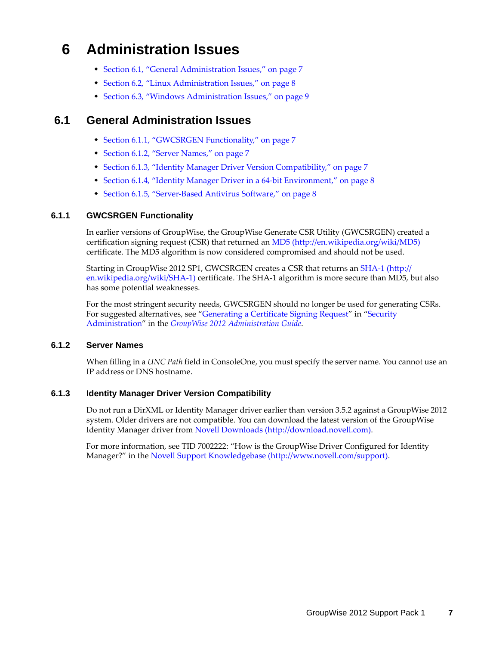# **6 Administration Issues**

- [Section 6.1, "General Administration Issues," on page 7](#page-6-0)
- [Section 6.2, "Linux Administration Issues," on page 8](#page-7-1)
- [Section 6.3, "Windows Administration Issues," on page 9](#page-8-0)

## <span id="page-6-0"></span>**6.1 General Administration Issues**

- [Section 6.1.1, "GWCSRGEN Functionality," on page 7](#page-6-1)
- [Section 6.1.2, "Server Names," on page 7](#page-6-2)
- [Section 6.1.3, "Identity Manager Driver Version Compatibility," on page 7](#page-6-3)
- [Section 6.1.4, "Identity Manager Driver in a 64-bit Environment," on page 8](#page-7-2)
- [Section 6.1.5, "Server-Based Antivirus Software," on page 8](#page-7-0)

#### <span id="page-6-1"></span>**6.1.1 GWCSRGEN Functionality**

In earlier versions of GroupWise, the GroupWise Generate CSR Utility (GWCSRGEN) created a certification signing request (CSR) that returned an [MD5](http://en.wikipedia.org/wiki/MD5) (http://en.wikipedia.org/wiki/MD5) certificate. The MD5 algorithm is now considered compromised and should not be used.

Starting in GroupWise 2012 SP1, GWCSRGEN creates a CSR that returns an [SHA-1](http://en.wikipedia.org/wiki/SHA-1) (http:// en.wikipedia.org/wiki/SHA-1) certificate. The SHA-1 algorithm is more secure than MD5, but also has some potential weaknesses.

For the most stringent security needs, GWCSRGEN should no longer be used for generating CSRs. For suggested alternatives, see "Generating a Certificate Signing Request" in "Security Administration" in the *GroupWise 2012 Administration Guide*.

#### <span id="page-6-2"></span>**6.1.2 Server Names**

When filling in a *UNC Path* field in ConsoleOne, you must specify the server name. You cannot use an IP address or DNS hostname.

#### <span id="page-6-3"></span>**6.1.3 Identity Manager Driver Version Compatibility**

Do not run a DirXML or Identity Manager driver earlier than version 3.5.2 against a GroupWise 2012 system. Older drivers are not compatible. You can download the latest version of the GroupWise Identity Manager driver from [Novell Downloads](http://download.novell.com) (http://download.novell.com).

For more information, see TID 7002222: "How is the GroupWise Driver Configured for Identity Manager?" in the [Novell Support Knowledgebase](http://www.novell.com/support) (http://www.novell.com/support).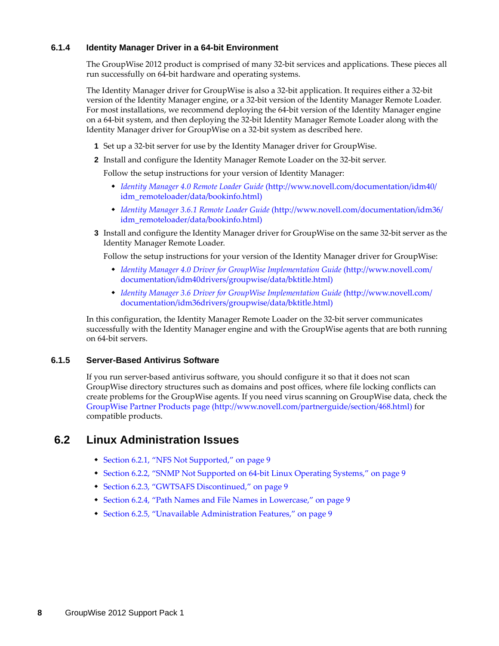#### <span id="page-7-2"></span>**6.1.4 Identity Manager Driver in a 64-bit Environment**

The GroupWise 2012 product is comprised of many 32-bit services and applications. These pieces all run successfully on 64-bit hardware and operating systems.

The Identity Manager driver for GroupWise is also a 32-bit application. It requires either a 32-bit version of the Identity Manager engine, or a 32-bit version of the Identity Manager Remote Loader. For most installations, we recommend deploying the 64-bit version of the Identity Manager engine on a 64-bit system, and then deploying the 32-bit Identity Manager Remote Loader along with the Identity Manager driver for GroupWise on a 32-bit system as described here.

- **1** Set up a 32-bit server for use by the Identity Manager driver for GroupWise.
- **2** Install and configure the Identity Manager Remote Loader on the 32-bit server.

Follow the setup instructions for your version of Identity Manager:

- *[Identity Manager 4.0 Remote Loader Guide](http://www.novell.com/documentation/idm40/idm_remoteloader/data/bookinfo.html)* (http://www.novell.com/documentation/idm40/ idm\_remoteloader/data/bookinfo.html)
- *[Identity Manager 3.6.1 Remote Loader Guide](http://www.novell.com/documentation/idm36/idm_remoteloader/data/bookinfo.html)* (http://www.novell.com/documentation/idm36/ idm\_remoteloader/data/bookinfo.html)
- **3** Install and configure the Identity Manager driver for GroupWise on the same 32-bit server as the Identity Manager Remote Loader.

Follow the setup instructions for your version of the Identity Manager driver for GroupWise:

- *[Identity Manager 4.0 Driver for GroupWise Implementation Guide](http://www.novell.com/documentation/idm40drivers/groupwise/data/bktitle.html)* (http://www.novell.com/ documentation/idm40drivers/groupwise/data/bktitle.html)
- *[Identity Manager 3.6 Driver for GroupWise Implementation Guide](http://www.novell.com/documentation/idm36drivers/groupwise/data/bktitle.html)* (http://www.novell.com/ documentation/idm36drivers/groupwise/data/bktitle.html)

In this configuration, the Identity Manager Remote Loader on the 32-bit server communicates successfully with the Identity Manager engine and with the GroupWise agents that are both running on 64-bit servers.

#### <span id="page-7-0"></span>**6.1.5 Server-Based Antivirus Software**

If you run server-based antivirus software, you should configure it so that it does not scan GroupWise directory structures such as domains and post offices, where file locking conflicts can create problems for the GroupWise agents. If you need virus scanning on GroupWise data, check the [GroupWise Partner Products page](http://www.novell.com/partnerguide/section/468.html) (http://www.novell.com/partnerguide/section/468.html) for compatible products.

## <span id="page-7-1"></span>**6.2 Linux Administration Issues**

- [Section 6.2.1, "NFS Not Supported," on page 9](#page-8-3)
- [Section 6.2.2, "SNMP Not Supported on 64-bit Linux Operating Systems," on page 9](#page-8-4)
- [Section 6.2.3, "GWTSAFS Discontinued," on page 9](#page-8-5)
- [Section 6.2.4, "Path Names and File Names in Lowercase," on page 9](#page-8-1)
- [Section 6.2.5, "Unavailable Administration Features," on page 9](#page-8-2)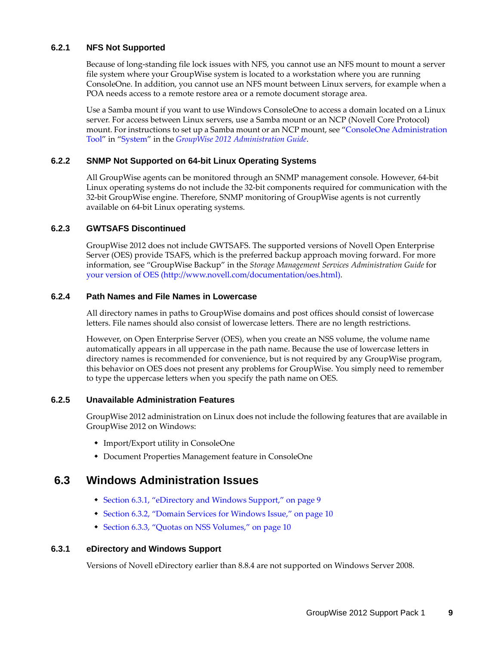#### <span id="page-8-3"></span>**6.2.1 NFS Not Supported**

Because of long-standing file lock issues with NFS, you cannot use an NFS mount to mount a server file system where your GroupWise system is located to a workstation where you are running ConsoleOne. In addition, you cannot use an NFS mount between Linux servers, for example when a POA needs access to a remote restore area or a remote document storage area.

Use a Samba mount if you want to use Windows ConsoleOne to access a domain located on a Linux server. For access between Linux servers, use a Samba mount or an NCP (Novell Core Protocol) mount. For instructions to set up a Samba mount or an NCP mount, see "ConsoleOne Administration Tool" in "System" in the *GroupWise 2012 Administration Guide*.

#### <span id="page-8-4"></span>**6.2.2 SNMP Not Supported on 64-bit Linux Operating Systems**

All GroupWise agents can be monitored through an SNMP management console. However, 64-bit Linux operating systems do not include the 32-bit components required for communication with the 32-bit GroupWise engine. Therefore, SNMP monitoring of GroupWise agents is not currently available on 64-bit Linux operating systems.

#### <span id="page-8-5"></span>**6.2.3 GWTSAFS Discontinued**

GroupWise 2012 does not include GWTSAFS. The supported versions of Novell Open Enterprise Server (OES) provide TSAFS, which is the preferred backup approach moving forward. For more information, see "GroupWise Backup" in the *Storage Management Services Administration Guide* for [your version of OES](http://www.novell.com/documentation/oes.html) (http://www.novell.com/documentation/oes.html).

#### <span id="page-8-1"></span>**6.2.4 Path Names and File Names in Lowercase**

All directory names in paths to GroupWise domains and post offices should consist of lowercase letters. File names should also consist of lowercase letters. There are no length restrictions.

However, on Open Enterprise Server (OES), when you create an NSS volume, the volume name automatically appears in all uppercase in the path name. Because the use of lowercase letters in directory names is recommended for convenience, but is not required by any GroupWise program, this behavior on OES does not present any problems for GroupWise. You simply need to remember to type the uppercase letters when you specify the path name on OES.

#### <span id="page-8-2"></span>**6.2.5 Unavailable Administration Features**

GroupWise 2012 administration on Linux does not include the following features that are available in GroupWise 2012 on Windows:

- Import/Export utility in ConsoleOne
- Document Properties Management feature in ConsoleOne

## <span id="page-8-0"></span>**6.3 Windows Administration Issues**

- [Section 6.3.1, "eDirectory and Windows Support," on page 9](#page-8-6)
- [Section 6.3.2, "Domain Services for Windows Issue," on page 10](#page-9-0)
- [Section 6.3.3, "Quotas on NSS Volumes," on page 10](#page-9-1)

#### <span id="page-8-6"></span>**6.3.1 eDirectory and Windows Support**

Versions of Novell eDirectory earlier than 8.8.4 are not supported on Windows Server 2008.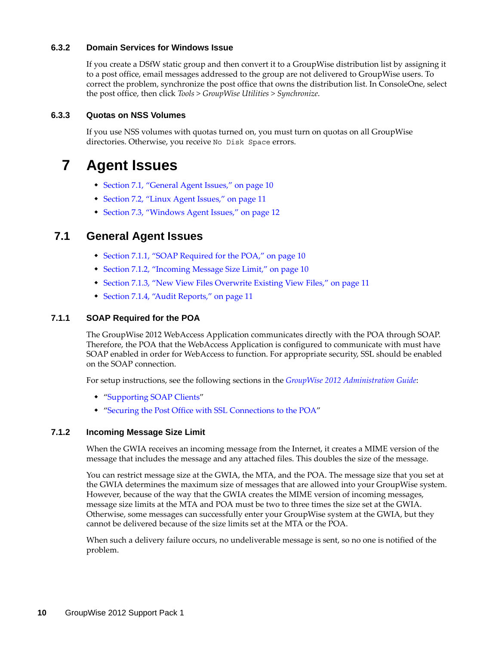#### <span id="page-9-0"></span>**6.3.2 Domain Services for Windows Issue**

If you create a DSfW static group and then convert it to a GroupWise distribution list by assigning it to a post office, email messages addressed to the group are not delivered to GroupWise users. To correct the problem, synchronize the post office that owns the distribution list. In ConsoleOne, select the post office, then click *Tools > GroupWise Utilities > Synchronize*.

#### <span id="page-9-1"></span>**6.3.3 Quotas on NSS Volumes**

If you use NSS volumes with quotas turned on, you must turn on quotas on all GroupWise directories. Otherwise, you receive No Disk Space errors.

## **7 Agent Issues**

- [Section 7.1, "General Agent Issues," on page 10](#page-9-2)
- [Section 7.2, "Linux Agent Issues," on page 11](#page-10-1)
- [Section 7.3, "Windows Agent Issues," on page 12](#page-11-0)

## <span id="page-9-2"></span>**7.1 General Agent Issues**

- [Section 7.1.1, "SOAP Required for the POA," on page 10](#page-9-3)
- [Section 7.1.2, "Incoming Message Size Limit," on page 10](#page-9-4)
- [Section 7.1.3, "New View Files Overwrite Existing View Files," on page 11](#page-10-2)
- [Section 7.1.4, "Audit Reports," on page 11](#page-10-0)

#### <span id="page-9-3"></span>**7.1.1 SOAP Required for the POA**

The GroupWise 2012 WebAccess Application communicates directly with the POA through SOAP. Therefore, the POA that the WebAccess Application is configured to communicate with must have SOAP enabled in order for WebAccess to function. For appropriate security, SSL should be enabled on the SOAP connection.

For setup instructions, see the following sections in the *GroupWise 2012 Administration Guide*:

- "Supporting SOAP Clients"
- "Securing the Post Office with SSL Connections to the POA"

#### <span id="page-9-4"></span>**7.1.2 Incoming Message Size Limit**

When the GWIA receives an incoming message from the Internet, it creates a MIME version of the message that includes the message and any attached files. This doubles the size of the message.

You can restrict message size at the GWIA, the MTA, and the POA. The message size that you set at the GWIA determines the maximum size of messages that are allowed into your GroupWise system. However, because of the way that the GWIA creates the MIME version of incoming messages, message size limits at the MTA and POA must be two to three times the size set at the GWIA. Otherwise, some messages can successfully enter your GroupWise system at the GWIA, but they cannot be delivered because of the size limits set at the MTA or the POA.

When such a delivery failure occurs, no undeliverable message is sent, so no one is notified of the problem.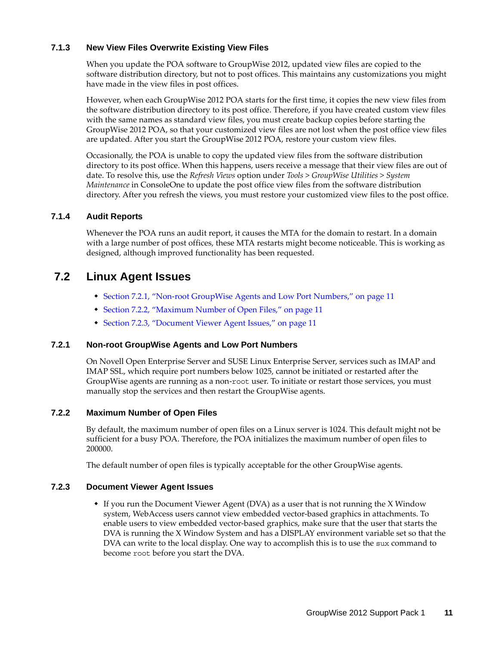#### <span id="page-10-2"></span>**7.1.3 New View Files Overwrite Existing View Files**

When you update the POA software to GroupWise 2012, updated view files are copied to the software distribution directory, but not to post offices. This maintains any customizations you might have made in the view files in post offices.

However, when each GroupWise 2012 POA starts for the first time, it copies the new view files from the software distribution directory to its post office. Therefore, if you have created custom view files with the same names as standard view files, you must create backup copies before starting the GroupWise 2012 POA, so that your customized view files are not lost when the post office view files are updated. After you start the GroupWise 2012 POA, restore your custom view files.

Occasionally, the POA is unable to copy the updated view files from the software distribution directory to its post office. When this happens, users receive a message that their view files are out of date. To resolve this, use the *Refresh Views* option under *Tools* > *GroupWise Utilities* > *System Maintenance* in ConsoleOne to update the post office view files from the software distribution directory. After you refresh the views, you must restore your customized view files to the post office.

#### <span id="page-10-0"></span>**7.1.4 Audit Reports**

Whenever the POA runs an audit report, it causes the MTA for the domain to restart. In a domain with a large number of post offices, these MTA restarts might become noticeable. This is working as designed, although improved functionality has been requested.

## <span id="page-10-1"></span>**7.2 Linux Agent Issues**

- [Section 7.2.1, "Non-root GroupWise Agents and Low Port Numbers," on page 11](#page-10-3)
- [Section 7.2.2, "Maximum Number of Open Files," on page 11](#page-10-4)
- [Section 7.2.3, "Document Viewer Agent Issues," on page 11](#page-10-5)

#### <span id="page-10-3"></span>**7.2.1 Non-root GroupWise Agents and Low Port Numbers**

On Novell Open Enterprise Server and SUSE Linux Enterprise Server, services such as IMAP and IMAP SSL, which require port numbers below 1025, cannot be initiated or restarted after the GroupWise agents are running as a non-root user. To initiate or restart those services, you must manually stop the services and then restart the GroupWise agents.

#### <span id="page-10-4"></span>**7.2.2 Maximum Number of Open Files**

By default, the maximum number of open files on a Linux server is 1024. This default might not be sufficient for a busy POA. Therefore, the POA initializes the maximum number of open files to 200000.

The default number of open files is typically acceptable for the other GroupWise agents.

#### <span id="page-10-5"></span>**7.2.3 Document Viewer Agent Issues**

 If you run the Document Viewer Agent (DVA) as a user that is not running the X Window system, WebAccess users cannot view embedded vector-based graphics in attachments. To enable users to view embedded vector-based graphics, make sure that the user that starts the DVA is running the X Window System and has a DISPLAY environment variable set so that the DVA can write to the local display. One way to accomplish this is to use the sux command to become root before you start the DVA.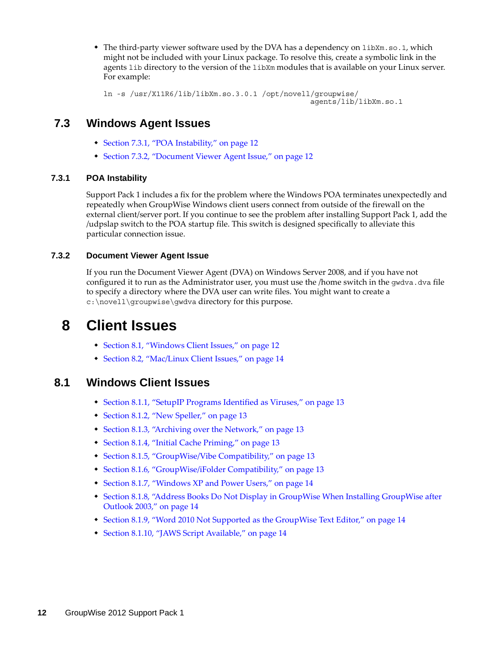• The third-party viewer software used by the DVA has a dependency on libXm.so.1, which might not be included with your Linux package. To resolve this, create a symbolic link in the agents lib directory to the version of the libXm modules that is available on your Linux server. For example:

```
ln -s /usr/X11R6/lib/libXm.so.3.0.1 /opt/novell/groupwise/
                                                 agents/lib/libXm.so.1
```
## <span id="page-11-0"></span>**7.3 Windows Agent Issues**

- [Section 7.3.1, "POA Instability," on page 12](#page-11-3)
- [Section 7.3.2, "Document Viewer Agent Issue," on page 12](#page-11-2)

#### <span id="page-11-3"></span>**7.3.1 POA Instability**

Support Pack 1 includes a fix for the problem where the Windows POA terminates unexpectedly and repeatedly when GroupWise Windows client users connect from outside of the firewall on the external client/server port. If you continue to see the problem after installing Support Pack 1, add the /udpslap switch to the POA startup file. This switch is designed specifically to alleviate this particular connection issue.

#### <span id="page-11-2"></span>**7.3.2 Document Viewer Agent Issue**

If you run the Document Viewer Agent (DVA) on Windows Server 2008, and if you have not configured it to run as the Administrator user, you must use the /home switch in the gwdva.dva file to specify a directory where the DVA user can write files. You might want to create a c:\novell\groupwise\gwdva directory for this purpose.

## **8 Client Issues**

- [Section 8.1, "Windows Client Issues," on page 12](#page-11-1)
- [Section 8.2, "Mac/Linux Client Issues," on page 14](#page-13-0)

## <span id="page-11-1"></span>**8.1 Windows Client Issues**

- [Section 8.1.1, "SetupIP Programs Identified as Viruses," on page 13](#page-12-0)
- [Section 8.1.2, "New Speller," on page 13](#page-12-1)
- [Section 8.1.3, "Archiving over the Network," on page 13](#page-12-2)
- [Section 8.1.4, "Initial Cache Priming," on page 13](#page-12-3)
- [Section 8.1.5, "GroupWise/Vibe Compatibility," on page 13](#page-12-4)
- [Section 8.1.6, "GroupWise/iFolder Compatibility," on page 13](#page-12-5)
- [Section 8.1.7, "Windows XP and Power Users," on page 14](#page-13-2)
- Section 8.1.8, "Address Books Do Not Display in GroupWise When Installing GroupWise after [Outlook 2003," on page 14](#page-13-3)
- [Section 8.1.9, "Word 2010 Not Supported as the GroupWise Text Editor," on page 14](#page-13-4)
- [Section 8.1.10, "JAWS Script Available," on page 14](#page-13-1)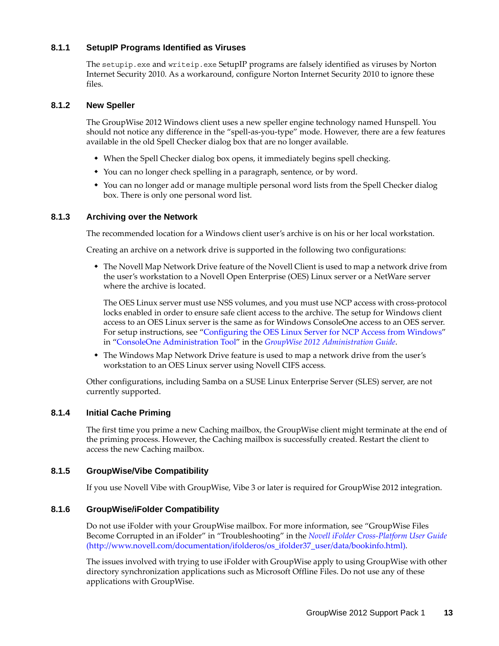#### <span id="page-12-0"></span>**8.1.1 SetupIP Programs Identified as Viruses**

The setupip.exe and writeip.exe SetupIP programs are falsely identified as viruses by Norton Internet Security 2010. As a workaround, configure Norton Internet Security 2010 to ignore these files.

#### <span id="page-12-1"></span>**8.1.2 New Speller**

The GroupWise 2012 Windows client uses a new speller engine technology named Hunspell. You should not notice any difference in the "spell-as-you-type" mode. However, there are a few features available in the old Spell Checker dialog box that are no longer available.

- When the Spell Checker dialog box opens, it immediately begins spell checking.
- You can no longer check spelling in a paragraph, sentence, or by word.
- You can no longer add or manage multiple personal word lists from the Spell Checker dialog box. There is only one personal word list.

#### <span id="page-12-2"></span>**8.1.3 Archiving over the Network**

The recommended location for a Windows client user's archive is on his or her local workstation.

Creating an archive on a network drive is supported in the following two configurations:

 The Novell Map Network Drive feature of the Novell Client is used to map a network drive from the user's workstation to a Novell Open Enterprise (OES) Linux server or a NetWare server where the archive is located.

The OES Linux server must use NSS volumes, and you must use NCP access with cross-protocol locks enabled in order to ensure safe client access to the archive. The setup for Windows client access to an OES Linux server is the same as for Windows ConsoleOne access to an OES server. For setup instructions, see "Configuring the OES Linux Server for NCP Access from Windows" in "ConsoleOne Administration Tool" in the *GroupWise 2012 Administration Guide*.

• The Windows Map Network Drive feature is used to map a network drive from the user's workstation to an OES Linux server using Novell CIFS access.

Other configurations, including Samba on a SUSE Linux Enterprise Server (SLES) server, are not currently supported.

#### <span id="page-12-3"></span>**8.1.4 Initial Cache Priming**

The first time you prime a new Caching mailbox, the GroupWise client might terminate at the end of the priming process. However, the Caching mailbox is successfully created. Restart the client to access the new Caching mailbox.

#### <span id="page-12-4"></span>**8.1.5 GroupWise/Vibe Compatibility**

If you use Novell Vibe with GroupWise, Vibe 3 or later is required for GroupWise 2012 integration.

#### <span id="page-12-5"></span>**8.1.6 GroupWise/iFolder Compatibility**

Do not use iFolder with your GroupWise mailbox. For more information, see "GroupWise Files Become Corrupted in an iFolder" in "Troubleshooting" in the *[Novell iFolder Cross-Platform User Guide](http://www.novell.com/documentation/ifolderos/os_ifolder37_user/data/bookinfo.html)* (http://www.novell.com/documentation/ifolderos/os\_ifolder37\_user/data/bookinfo.html).

The issues involved with trying to use iFolder with GroupWise apply to using GroupWise with other directory synchronization applications such as Microsoft Offline Files. Do not use any of these applications with GroupWise.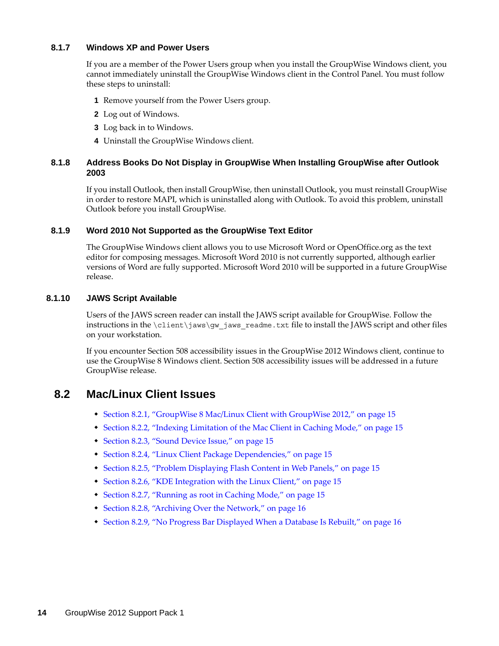#### <span id="page-13-2"></span>**8.1.7 Windows XP and Power Users**

If you are a member of the Power Users group when you install the GroupWise Windows client, you cannot immediately uninstall the GroupWise Windows client in the Control Panel. You must follow these steps to uninstall:

- **1** Remove yourself from the Power Users group.
- **2** Log out of Windows.
- **3** Log back in to Windows.
- **4** Uninstall the GroupWise Windows client.

#### <span id="page-13-3"></span>**8.1.8 Address Books Do Not Display in GroupWise When Installing GroupWise after Outlook 2003**

If you install Outlook, then install GroupWise, then uninstall Outlook, you must reinstall GroupWise in order to restore MAPI, which is uninstalled along with Outlook. To avoid this problem, uninstall Outlook before you install GroupWise.

#### <span id="page-13-4"></span>**8.1.9 Word 2010 Not Supported as the GroupWise Text Editor**

The GroupWise Windows client allows you to use Microsoft Word or OpenOffice.org as the text editor for composing messages. Microsoft Word 2010 is not currently supported, although earlier versions of Word are fully supported. Microsoft Word 2010 will be supported in a future GroupWise release.

#### <span id="page-13-1"></span>**8.1.10 JAWS Script Available**

Users of the JAWS screen reader can install the JAWS script available for GroupWise. Follow the instructions in the  $\clap{\text{client}}jaws\gtrap{\text{gw}}jaws\ readme.txt$  file to install the JAWS script and other files on your workstation.

If you encounter Section 508 accessibility issues in the GroupWise 2012 Windows client, continue to use the GroupWise 8 Windows client. Section 508 accessibility issues will be addressed in a future GroupWise release.

## <span id="page-13-0"></span>**8.2 Mac/Linux Client Issues**

- [Section 8.2.1, "GroupWise 8 Mac/Linux Client with GroupWise 2012," on page 15](#page-14-0)
- \* [Section 8.2.2, "Indexing Limitation of the Mac Client in Caching Mode," on page 15](#page-14-1)
- [Section 8.2.3, "Sound Device Issue," on page 15](#page-14-2)
- [Section 8.2.4, "Linux Client Package Dependencies," on page 15](#page-14-3)
- [Section 8.2.5, "Problem Displaying Flash Content in Web Panels," on page 15](#page-14-4)
- [Section 8.2.6, "KDE Integration with the Linux Client," on page 15](#page-14-5)
- [Section 8.2.7, "Running as root in Caching Mode," on page 15](#page-14-6)
- [Section 8.2.8, "Archiving Over the Network," on page 16](#page-15-0)
- [Section 8.2.9, "No Progress Bar Displayed When a Database Is Rebuilt," on page 16](#page-15-1)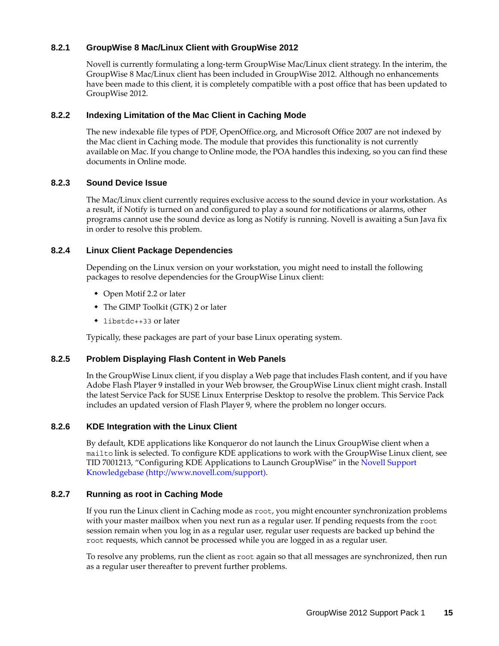#### <span id="page-14-0"></span>**8.2.1 GroupWise 8 Mac/Linux Client with GroupWise 2012**

Novell is currently formulating a long-term GroupWise Mac/Linux client strategy. In the interim, the GroupWise 8 Mac/Linux client has been included in GroupWise 2012. Although no enhancements have been made to this client, it is completely compatible with a post office that has been updated to GroupWise 2012.

#### <span id="page-14-1"></span>**8.2.2 Indexing Limitation of the Mac Client in Caching Mode**

The new indexable file types of PDF, OpenOffice.org, and Microsoft Office 2007 are not indexed by the Mac client in Caching mode. The module that provides this functionality is not currently available on Mac. If you change to Online mode, the POA handles this indexing, so you can find these documents in Online mode.

#### <span id="page-14-2"></span>**8.2.3 Sound Device Issue**

The Mac/Linux client currently requires exclusive access to the sound device in your workstation. As a result, if Notify is turned on and configured to play a sound for notifications or alarms, other programs cannot use the sound device as long as Notify is running. Novell is awaiting a Sun Java fix in order to resolve this problem.

#### <span id="page-14-3"></span>**8.2.4 Linux Client Package Dependencies**

Depending on the Linux version on your workstation, you might need to install the following packages to resolve dependencies for the GroupWise Linux client:

- Open Motif 2.2 or later
- The GIMP Toolkit (GTK) 2 or later
- libstdc++33 or later

Typically, these packages are part of your base Linux operating system.

#### <span id="page-14-4"></span>**8.2.5 Problem Displaying Flash Content in Web Panels**

In the GroupWise Linux client, if you display a Web page that includes Flash content, and if you have Adobe Flash Player 9 installed in your Web browser, the GroupWise Linux client might crash. Install the latest Service Pack for SUSE Linux Enterprise Desktop to resolve the problem. This Service Pack includes an updated version of Flash Player 9, where the problem no longer occurs.

#### <span id="page-14-5"></span>**8.2.6 KDE Integration with the Linux Client**

By default, KDE applications like Konqueror do not launch the Linux GroupWise client when a mailto link is selected. To configure KDE applications to work with the GroupWise Linux client, see TID 7001213, "Configuring KDE Applications to Launch GroupWise" in the [Novell Support](http://www.novell.com/support)  [Knowledgebase](http://www.novell.com/support) (http://www.novell.com/support).

#### <span id="page-14-6"></span>**8.2.7 Running as root in Caching Mode**

If you run the Linux client in Caching mode as root, you might encounter synchronization problems with your master mailbox when you next run as a regular user. If pending requests from the root session remain when you log in as a regular user, regular user requests are backed up behind the root requests, which cannot be processed while you are logged in as a regular user.

To resolve any problems, run the client as root again so that all messages are synchronized, then run as a regular user thereafter to prevent further problems.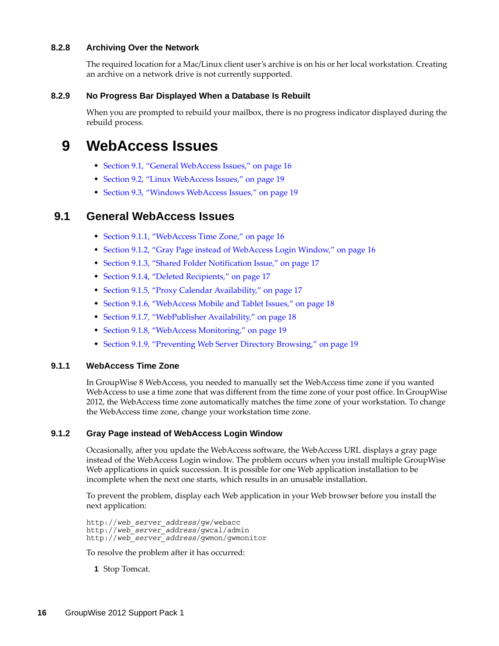#### <span id="page-15-0"></span>**8.2.8 Archiving Over the Network**

The required location for a Mac/Linux client user's archive is on his or her local workstation. Creating an archive on a network drive is not currently supported.

#### <span id="page-15-1"></span>**8.2.9 No Progress Bar Displayed When a Database Is Rebuilt**

When you are prompted to rebuild your mailbox, there is no progress indicator displayed during the rebuild process.

## **9 WebAccess Issues**

- [Section 9.1, "General WebAccess Issues," on page 16](#page-15-2)
- [Section 9.2, "Linux WebAccess Issues," on page 19](#page-18-2)
- [Section 9.3, "Windows WebAccess Issues," on page 19](#page-18-3)

## <span id="page-15-2"></span>**9.1 General WebAccess Issues**

- [Section 9.1.1, "WebAccess Time Zone," on page 16](#page-15-3)
- [Section 9.1.2, "Gray Page instead of WebAccess Login Window," on page 16](#page-15-4)
- [Section 9.1.3, "Shared Folder Notification Issue," on page 17](#page-16-0)
- [Section 9.1.4, "Deleted Recipients," on page 17](#page-16-1)
- [Section 9.1.5, "Proxy Calendar Availability," on page 17](#page-16-2)
- [Section 9.1.6, "WebAccess Mobile and Tablet Issues," on page 18](#page-17-0)
- [Section 9.1.7, "WebPublisher Availability," on page 18](#page-17-1)
- [Section 9.1.8, "WebAccess Monitoring," on page 19](#page-18-0)
- [Section 9.1.9, "Preventing Web Server Directory Browsing," on page 19](#page-18-1)

#### <span id="page-15-3"></span>**9.1.1 WebAccess Time Zone**

In GroupWise 8 WebAccess, you needed to manually set the WebAccess time zone if you wanted WebAccess to use a time zone that was different from the time zone of your post office. In GroupWise 2012, the WebAccess time zone automatically matches the time zone of your workstation. To change the WebAccess time zone, change your workstation time zone.

#### <span id="page-15-4"></span>**9.1.2 Gray Page instead of WebAccess Login Window**

Occasionally, after you update the WebAccess software, the WebAccess URL displays a gray page instead of the WebAccess Login window. The problem occurs when you install multiple GroupWise Web applications in quick succession. It is possible for one Web application installation to be incomplete when the next one starts, which results in an unusable installation.

To prevent the problem, display each Web application in your Web browser before you install the next application:

```
http://web_server_address/gw/webacc
http://web_server_address/gwcal/admin
http://web_server_address/gwmon/gwmonitor
```
To resolve the problem after it has occurred:

**1** Stop Tomcat.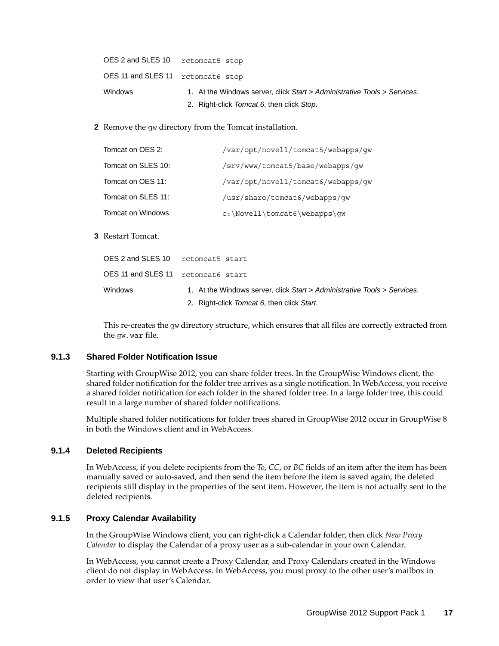| OES 2 and SLES 10 retomeat5 stop  |                                                                          |
|-----------------------------------|--------------------------------------------------------------------------|
| OES 11 and SLES 11 retomeat6 stop |                                                                          |
| Windows                           | 1. At the Windows server, click Start > Administrative Tools > Services. |
|                                   | 2. Right-click Tomcat 6, then click Stop.                                |

**2** Remove the gw directory from the Tomcat installation.

| Tomcat on OES 2:         | /var/opt/novell/tomcat5/webapps/gw |
|--------------------------|------------------------------------|
| Tomcat on SLES 10:       | /srv/www/tomcat5/base/webapps/qw   |
| Tomcat on OES 11:        | /var/opt/novell/tomcat6/webapps/qw |
| Tomcat on SLES 11:       | /usr/share/tomcat6/webapps/qw      |
| <b>Tomcat on Windows</b> | $c:\Novell\tomcat6\webapps\qw$     |

#### **3** Restart Tomcat.

| OES 2 and SLES 10                  | rctomcat5 start                                                          |
|------------------------------------|--------------------------------------------------------------------------|
| OES 11 and SLES 11 retomeat6 start |                                                                          |
| <b>Windows</b>                     | 1. At the Windows server, click Start > Administrative Tools > Services. |
|                                    | 2. Right-click Tomcat 6, then click Start.                               |

This re-creates the gw directory structure, which ensures that all files are correctly extracted from the gw.war file.

#### <span id="page-16-0"></span>**9.1.3 Shared Folder Notification Issue**

Starting with GroupWise 2012, you can share folder trees. In the GroupWise Windows client, the shared folder notification for the folder tree arrives as a single notification. In WebAccess, you receive a shared folder notification for each folder in the shared folder tree. In a large folder tree, this could result in a large number of shared folder notifications.

Multiple shared folder notifications for folder trees shared in GroupWise 2012 occur in GroupWise 8 in both the Windows client and in WebAccess.

#### <span id="page-16-1"></span>**9.1.4 Deleted Recipients**

In WebAccess, if you delete recipients from the *To*, *CC*, or *BC* fields of an item after the item has been manually saved or auto-saved, and then send the item before the item is saved again, the deleted recipients still display in the properties of the sent item. However, the item is not actually sent to the deleted recipients.

#### <span id="page-16-2"></span>**9.1.5 Proxy Calendar Availability**

In the GroupWise Windows client, you can right-click a Calendar folder, then click *New Proxy Calendar* to display the Calendar of a proxy user as a sub-calendar in your own Calendar.

In WebAccess, you cannot create a Proxy Calendar, and Proxy Calendars created in the Windows client do not display in WebAccess. In WebAccess, you must proxy to the other user's mailbox in order to view that user's Calendar.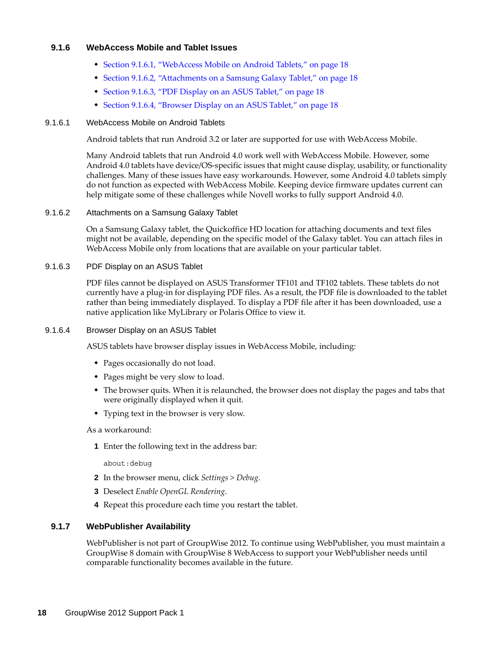#### <span id="page-17-0"></span>**9.1.6 WebAccess Mobile and Tablet Issues**

- [Section 9.1.6.1, "WebAccess Mobile on Android Tablets," on page 18](#page-17-4)
- [Section 9.1.6.2, "Attachments on a Samsung Galaxy Tablet," on page 18](#page-17-2)
- [Section 9.1.6.3, "PDF Display on an ASUS Tablet," on page 18](#page-17-5)
- [Section 9.1.6.4, "Browser Display on an ASUS Tablet," on page 18](#page-17-3)

#### <span id="page-17-4"></span>9.1.6.1 WebAccess Mobile on Android Tablets

Android tablets that run Android 3.2 or later are supported for use with WebAccess Mobile.

Many Android tablets that run Android 4.0 work well with WebAccess Mobile. However, some Android 4.0 tablets have device/OS-specific issues that might cause display, usability, or functionality challenges. Many of these issues have easy workarounds. However, some Android 4.0 tablets simply do not function as expected with WebAccess Mobile. Keeping device firmware updates current can help mitigate some of these challenges while Novell works to fully support Android 4.0.

#### <span id="page-17-2"></span>9.1.6.2 Attachments on a Samsung Galaxy Tablet

On a Samsung Galaxy tablet, the Quickoffice HD location for attaching documents and text files might not be available, depending on the specific model of the Galaxy tablet. You can attach files in WebAccess Mobile only from locations that are available on your particular tablet.

#### <span id="page-17-5"></span>9.1.6.3 PDF Display on an ASUS Tablet

PDF files cannot be displayed on ASUS Transformer TF101 and TF102 tablets. These tablets do not currently have a plug-in for displaying PDF files. As a result, the PDF file is downloaded to the tablet rather than being immediately displayed. To display a PDF file after it has been downloaded, use a native application like MyLibrary or Polaris Office to view it.

#### <span id="page-17-3"></span>9.1.6.4 Browser Display on an ASUS Tablet

ASUS tablets have browser display issues in WebAccess Mobile, including:

- Pages occasionally do not load.
- Pages might be very slow to load.
- The browser quits. When it is relaunched, the browser does not display the pages and tabs that were originally displayed when it quit.
- Typing text in the browser is very slow.

#### As a workaround:

**1** Enter the following text in the address bar:

about:debug

- **2** In the browser menu, click *Settings > Debug*.
- **3** Deselect *Enable OpenGL Rendering*.
- **4** Repeat this procedure each time you restart the tablet.

#### <span id="page-17-1"></span>**9.1.7 WebPublisher Availability**

WebPublisher is not part of GroupWise 2012. To continue using WebPublisher, you must maintain a GroupWise 8 domain with GroupWise 8 WebAccess to support your WebPublisher needs until comparable functionality becomes available in the future.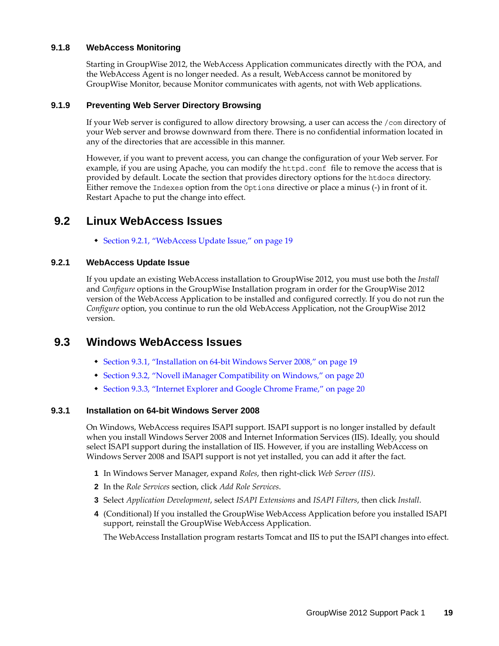#### <span id="page-18-0"></span>**9.1.8 WebAccess Monitoring**

Starting in GroupWise 2012, the WebAccess Application communicates directly with the POA, and the WebAccess Agent is no longer needed. As a result, WebAccess cannot be monitored by GroupWise Monitor, because Monitor communicates with agents, not with Web applications.

#### <span id="page-18-1"></span>**9.1.9 Preventing Web Server Directory Browsing**

If your Web server is configured to allow directory browsing, a user can access the /com directory of your Web server and browse downward from there. There is no confidential information located in any of the directories that are accessible in this manner.

However, if you want to prevent access, you can change the configuration of your Web server. For example, if you are using Apache, you can modify the httpd.conf file to remove the access that is provided by default. Locate the section that provides directory options for the htdocs directory. Either remove the Indexes option from the Options directive or place a minus (-) in front of it. Restart Apache to put the change into effect.

## <span id="page-18-2"></span>**9.2 Linux WebAccess Issues**

[Section 9.2.1, "WebAccess Update Issue," on page 19](#page-18-4)

#### <span id="page-18-4"></span>**9.2.1 WebAccess Update Issue**

If you update an existing WebAccess installation to GroupWise 2012, you must use both the *Install* and *Configure* options in the GroupWise Installation program in order for the GroupWise 2012 version of the WebAccess Application to be installed and configured correctly. If you do not run the *Configure* option, you continue to run the old WebAccess Application, not the GroupWise 2012 version.

## <span id="page-18-3"></span>**9.3 Windows WebAccess Issues**

- [Section 9.3.1, "Installation on 64-bit Windows Server 2008," on page 19](#page-18-5)
- [Section 9.3.2, "Novell iManager Compatibility on Windows," on page 20](#page-19-0)
- [Section 9.3.3, "Internet Explorer and Google Chrome Frame," on page 20](#page-19-1)

#### <span id="page-18-5"></span>**9.3.1 Installation on 64-bit Windows Server 2008**

On Windows, WebAccess requires ISAPI support. ISAPI support is no longer installed by default when you install Windows Server 2008 and Internet Information Services (IIS). Ideally, you should select ISAPI support during the installation of IIS. However, if you are installing WebAccess on Windows Server 2008 and ISAPI support is not yet installed, you can add it after the fact.

- **1** In Windows Server Manager, expand *Roles*, then right-click *Web Server (IIS)*.
- **2** In the *Role Services* section, click *Add Role Services*.
- **3** Select *Application Development*, select *ISAPI Extensions* and *ISAPI Filters*, then click *Install*.
- **4** (Conditional) If you installed the GroupWise WebAccess Application before you installed ISAPI support, reinstall the GroupWise WebAccess Application.

The WebAccess Installation program restarts Tomcat and IIS to put the ISAPI changes into effect.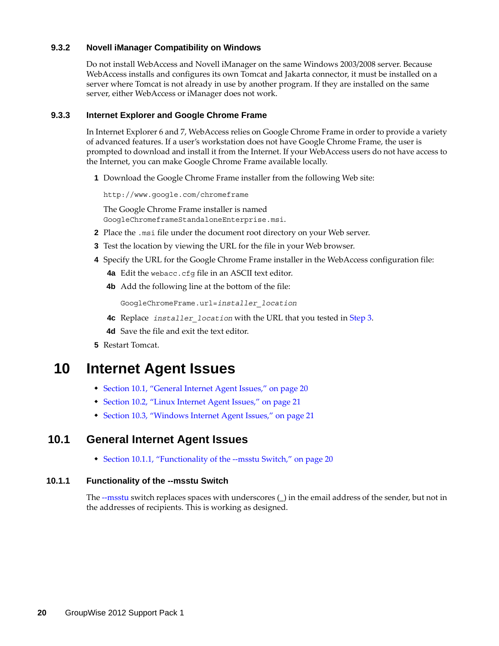#### <span id="page-19-0"></span>**9.3.2 Novell iManager Compatibility on Windows**

Do not install WebAccess and Novell iManager on the same Windows 2003/2008 server. Because WebAccess installs and configures its own Tomcat and Jakarta connector, it must be installed on a server where Tomcat is not already in use by another program. If they are installed on the same server, either WebAccess or iManager does not work.

#### <span id="page-19-1"></span>**9.3.3 Internet Explorer and Google Chrome Frame**

In Internet Explorer 6 and 7, WebAccess relies on Google Chrome Frame in order to provide a variety of advanced features. If a user's workstation does not have Google Chrome Frame, the user is prompted to download and install it from the Internet. If your WebAccess users do not have access to the Internet, you can make Google Chrome Frame available locally.

**1** Download the Google Chrome Frame installer from the following Web site:

http://www.google.com/chromeframe

The Google Chrome Frame installer is named GoogleChromeframeStandaloneEnterprise.msi.

- **2** Place the .msi file under the document root directory on your Web server.
- <span id="page-19-4"></span>**3** Test the location by viewing the URL for the file in your Web browser.
- **4** Specify the URL for the Google Chrome Frame installer in the WebAccess configuration file:
	- **4a** Edit the webacc.cfg file in an ASCII text editor.
	- **4b** Add the following line at the bottom of the file:

GoogleChromeFrame.url=*installer\_location*

- **4c** Replace *installer\_location* with the URL that you tested in [Step 3](#page-19-4).
- **4d** Save the file and exit the text editor.
- **5** Restart Tomcat.

## **10 Internet Agent Issues**

- [Section 10.1, "General Internet Agent Issues," on page 20](#page-19-2)
- [Section 10.2, "Linux Internet Agent Issues," on page 21](#page-20-0)
- [Section 10.3, "Windows Internet Agent Issues," on page 21](#page-20-1)

## <span id="page-19-2"></span>**10.1 General Internet Agent Issues**

[Section 10.1.1, "Functionality of the --msstu Switch," on page 20](#page-19-3)

### <span id="page-19-3"></span>**10.1.1 Functionality of the --msstu Switch**

The --msstu switch replaces spaces with underscores (\_) in the email address of the sender, but not in the addresses of recipients. This is working as designed.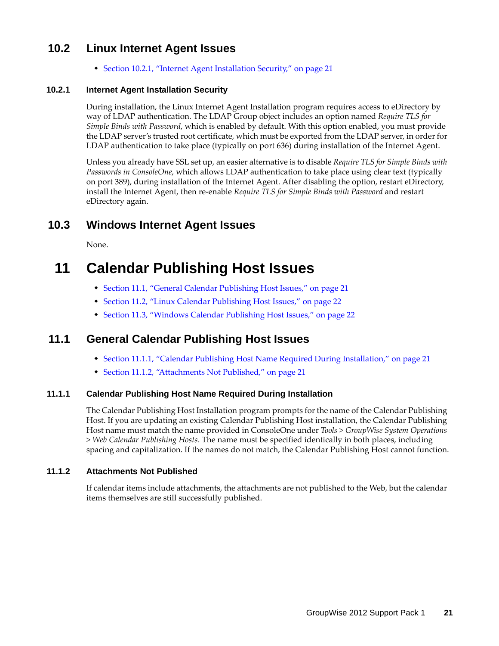## <span id="page-20-0"></span>**10.2 Linux Internet Agent Issues**

[Section 10.2.1, "Internet Agent Installation Security," on page 21](#page-20-2)

#### <span id="page-20-2"></span>**10.2.1 Internet Agent Installation Security**

During installation, the Linux Internet Agent Installation program requires access to eDirectory by way of LDAP authentication. The LDAP Group object includes an option named *Require TLS for Simple Binds with Password*, which is enabled by default. With this option enabled, you must provide the LDAP server's trusted root certificate, which must be exported from the LDAP server, in order for LDAP authentication to take place (typically on port 636) during installation of the Internet Agent.

Unless you already have SSL set up, an easier alternative is to disable *Require TLS for Simple Binds with Passwords in ConsoleOne*, which allows LDAP authentication to take place using clear text (typically on port 389), during installation of the Internet Agent. After disabling the option, restart eDirectory, install the Internet Agent, then re-enable *Require TLS for Simple Binds with Password* and restart eDirectory again.

## <span id="page-20-1"></span>**10.3 Windows Internet Agent Issues**

None.

# **11 Calendar Publishing Host Issues**

- [Section 11.1, "General Calendar Publishing Host Issues," on page 21](#page-20-3)
- [Section 11.2, "Linux Calendar Publishing Host Issues," on page 22](#page-21-0)
- [Section 11.3, "Windows Calendar Publishing Host Issues," on page 22](#page-21-1)

## <span id="page-20-3"></span>**11.1 General Calendar Publishing Host Issues**

- [Section 11.1.1, "Calendar Publishing Host Name Required During Installation," on page 21](#page-20-4)
- [Section 11.1.2, "Attachments Not Published," on page 21](#page-20-5)

#### <span id="page-20-4"></span>**11.1.1 Calendar Publishing Host Name Required During Installation**

The Calendar Publishing Host Installation program prompts for the name of the Calendar Publishing Host. If you are updating an existing Calendar Publishing Host installation, the Calendar Publishing Host name must match the name provided in ConsoleOne under *Tools > GroupWise System Operations > Web Calendar Publishing Hosts*. The name must be specified identically in both places, including spacing and capitalization. If the names do not match, the Calendar Publishing Host cannot function.

#### <span id="page-20-5"></span>**11.1.2 Attachments Not Published**

If calendar items include attachments, the attachments are not published to the Web, but the calendar items themselves are still successfully published.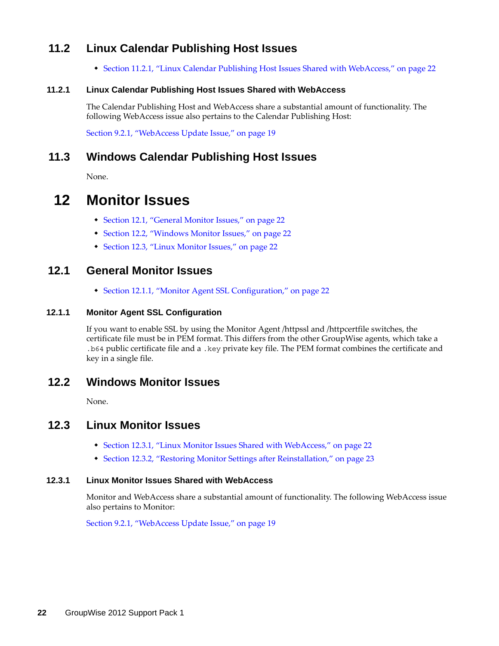## <span id="page-21-0"></span>**11.2 Linux Calendar Publishing Host Issues**

[Section 11.2.1, "Linux Calendar Publishing Host Issues Shared with WebAccess," on page 22](#page-21-2)

#### <span id="page-21-2"></span>**11.2.1 Linux Calendar Publishing Host Issues Shared with WebAccess**

The Calendar Publishing Host and WebAccess share a substantial amount of functionality. The following WebAccess issue also pertains to the Calendar Publishing Host:

[Section 9.2.1, "WebAccess Update Issue," on page 19](#page-18-4)

## <span id="page-21-1"></span>**11.3 Windows Calendar Publishing Host Issues**

None.

## **12 Monitor Issues**

- [Section 12.1, "General Monitor Issues," on page 22](#page-21-3)
- [Section 12.2, "Windows Monitor Issues," on page 22](#page-21-4)
- [Section 12.3, "Linux Monitor Issues," on page 22](#page-21-5)

### <span id="page-21-3"></span>**12.1 General Monitor Issues**

[Section 12.1.1, "Monitor Agent SSL Configuration," on page 22](#page-21-6)

#### <span id="page-21-6"></span>**12.1.1 Monitor Agent SSL Configuration**

If you want to enable SSL by using the Monitor Agent /httpssl and /httpcertfile switches, the certificate file must be in PEM format. This differs from the other GroupWise agents, which take a .b64 public certificate file and a .key private key file. The PEM format combines the certificate and key in a single file.

## <span id="page-21-4"></span>**12.2 Windows Monitor Issues**

None.

### <span id="page-21-5"></span>**12.3 Linux Monitor Issues**

- [Section 12.3.1, "Linux Monitor Issues Shared with WebAccess," on page 22](#page-21-7)
- [Section 12.3.2, "Restoring Monitor Settings after Reinstallation," on page 23](#page-22-0)

#### <span id="page-21-7"></span>**12.3.1 Linux Monitor Issues Shared with WebAccess**

Monitor and WebAccess share a substantial amount of functionality. The following WebAccess issue also pertains to Monitor:

[Section 9.2.1, "WebAccess Update Issue," on page 19](#page-18-4)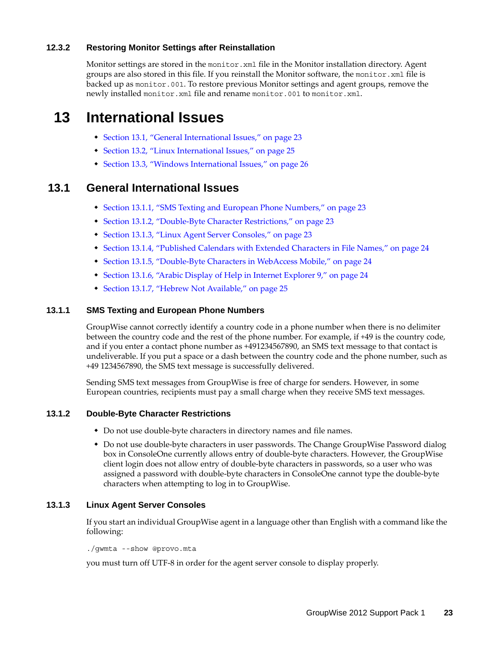#### <span id="page-22-0"></span>**12.3.2 Restoring Monitor Settings after Reinstallation**

Monitor settings are stored in the monitor. xml file in the Monitor installation directory. Agent groups are also stored in this file. If you reinstall the Monitor software, the monitor.xml file is backed up as monitor.001. To restore previous Monitor settings and agent groups, remove the newly installed monitor.xml file and rename monitor.001 to monitor.xml.

## **13 International Issues**

- [Section 13.1, "General International Issues," on page 23](#page-22-1)
- [Section 13.2, "Linux International Issues," on page 25](#page-24-1)
- [Section 13.3, "Windows International Issues," on page 26](#page-25-0)

## <span id="page-22-1"></span>**13.1 General International Issues**

- [Section 13.1.1, "SMS Texting and European Phone Numbers," on page 23](#page-22-2)
- [Section 13.1.2, "Double-Byte Character Restrictions," on page 23](#page-22-3)
- [Section 13.1.3, "Linux Agent Server Consoles," on page 23](#page-22-4)
- [Section 13.1.4, "Published Calendars with Extended Characters in File Names," on page 24](#page-23-0)
- [Section 13.1.5, "Double-Byte Characters in WebAccess Mobile," on page 24](#page-23-1)
- [Section 13.1.6, "Arabic Display of Help in Internet Explorer 9," on page 24](#page-23-2)
- [Section 13.1.7, "Hebrew Not Available," on page 25](#page-24-0)

#### <span id="page-22-2"></span>**13.1.1 SMS Texting and European Phone Numbers**

GroupWise cannot correctly identify a country code in a phone number when there is no delimiter between the country code and the rest of the phone number. For example, if +49 is the country code, and if you enter a contact phone number as +491234567890, an SMS text message to that contact is undeliverable. If you put a space or a dash between the country code and the phone number, such as +49 1234567890, the SMS text message is successfully delivered.

Sending SMS text messages from GroupWise is free of charge for senders. However, in some European countries, recipients must pay a small charge when they receive SMS text messages.

#### <span id="page-22-3"></span>**13.1.2 Double-Byte Character Restrictions**

- Do not use double-byte characters in directory names and file names.
- Do not use double-byte characters in user passwords. The Change GroupWise Password dialog box in ConsoleOne currently allows entry of double-byte characters. However, the GroupWise client login does not allow entry of double-byte characters in passwords, so a user who was assigned a password with double-byte characters in ConsoleOne cannot type the double-byte characters when attempting to log in to GroupWise.

#### <span id="page-22-4"></span>**13.1.3 Linux Agent Server Consoles**

If you start an individual GroupWise agent in a language other than English with a command like the following:

./gwmta --show @provo.mta

you must turn off UTF-8 in order for the agent server console to display properly.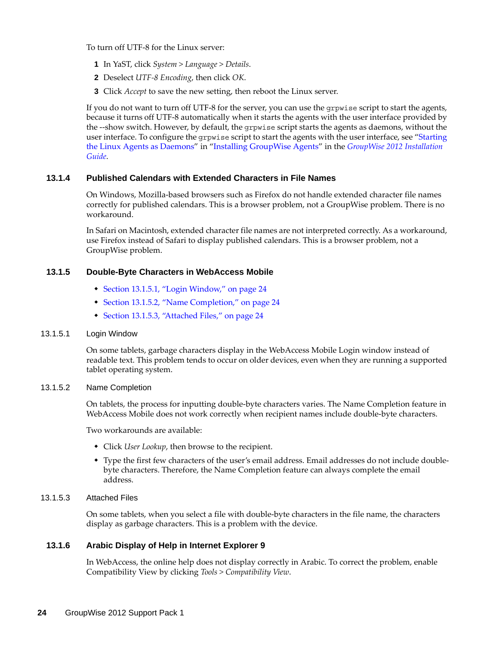To turn off UTF-8 for the Linux server:

- **1** In YaST, click *System > Language > Details*.
- **2** Deselect *UTF-8 Encoding*, then click *OK*.
- **3** Click *Accept* to save the new setting, then reboot the Linux server.

If you do not want to turn off UTF-8 for the server, you can use the grpwise script to start the agents, because it turns off UTF-8 automatically when it starts the agents with the user interface provided by the --show switch. However, by default, the grpwise script starts the agents as daemons, without the user interface. To configure the grpwise script to start the agents with the user interface, see "Starting the Linux Agents as Daemons" in "Installing GroupWise Agents" in the *GroupWise 2012 Installation Guide*.

#### <span id="page-23-0"></span>**13.1.4 Published Calendars with Extended Characters in File Names**

On Windows, Mozilla-based browsers such as Firefox do not handle extended character file names correctly for published calendars. This is a browser problem, not a GroupWise problem. There is no workaround.

In Safari on Macintosh, extended character file names are not interpreted correctly. As a workaround, use Firefox instead of Safari to display published calendars. This is a browser problem, not a GroupWise problem.

#### <span id="page-23-1"></span>**13.1.5 Double-Byte Characters in WebAccess Mobile**

- [Section 13.1.5.1, "Login Window," on page 24](#page-23-4)
- [Section 13.1.5.2, "Name Completion," on page 24](#page-23-5)
- [Section 13.1.5.3, "Attached Files," on page 24](#page-23-3)

#### <span id="page-23-4"></span>13.1.5.1 Login Window

On some tablets, garbage characters display in the WebAccess Mobile Login window instead of readable text. This problem tends to occur on older devices, even when they are running a supported tablet operating system.

#### <span id="page-23-5"></span>13.1.5.2 Name Completion

On tablets, the process for inputting double-byte characters varies. The Name Completion feature in WebAccess Mobile does not work correctly when recipient names include double-byte characters.

Two workarounds are available:

- Click *User Lookup*, then browse to the recipient.
- Type the first few characters of the user's email address. Email addresses do not include doublebyte characters. Therefore, the Name Completion feature can always complete the email address.

#### <span id="page-23-3"></span>13.1.5.3 Attached Files

On some tablets, when you select a file with double-byte characters in the file name, the characters display as garbage characters. This is a problem with the device.

#### <span id="page-23-2"></span>**13.1.6 Arabic Display of Help in Internet Explorer 9**

In WebAccess, the online help does not display correctly in Arabic. To correct the problem, enable Compatibility View by clicking *Tools > Compatibility View*.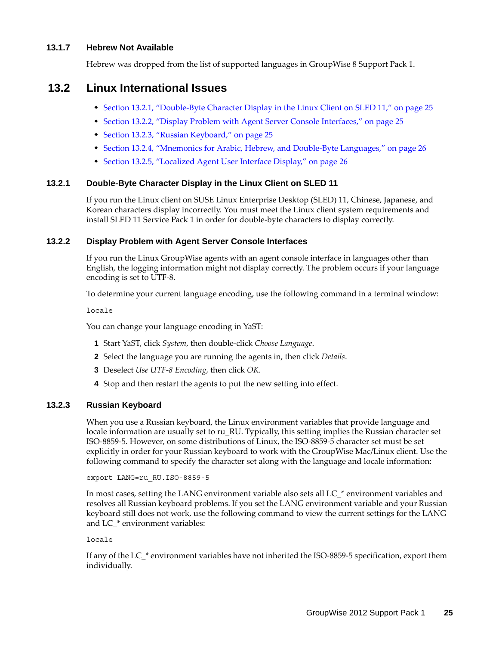#### <span id="page-24-0"></span>**13.1.7 Hebrew Not Available**

Hebrew was dropped from the list of supported languages in GroupWise 8 Support Pack 1.

### <span id="page-24-1"></span>**13.2 Linux International Issues**

- [Section 13.2.1, "Double-Byte Character Display in the Linux Client on SLED 11," on page 25](#page-24-2)
- [Section 13.2.2, "Display Problem with Agent Server Console Interfaces," on page 25](#page-24-3)
- [Section 13.2.3, "Russian Keyboard," on page 25](#page-24-4)
- [Section 13.2.4, "Mnemonics for Arabic, Hebrew, and Double-Byte Languages," on page 26](#page-25-1)
- [Section 13.2.5, "Localized Agent User Interface Display," on page 26](#page-25-2)

#### <span id="page-24-2"></span>**13.2.1 Double-Byte Character Display in the Linux Client on SLED 11**

If you run the Linux client on SUSE Linux Enterprise Desktop (SLED) 11, Chinese, Japanese, and Korean characters display incorrectly. You must meet the Linux client system requirements and install SLED 11 Service Pack 1 in order for double-byte characters to display correctly.

#### <span id="page-24-3"></span>**13.2.2 Display Problem with Agent Server Console Interfaces**

If you run the Linux GroupWise agents with an agent console interface in languages other than English, the logging information might not display correctly. The problem occurs if your language encoding is set to UTF-8.

To determine your current language encoding, use the following command in a terminal window:

locale

You can change your language encoding in YaST:

- **1** Start YaST, click *System*, then double-click *Choose Language*.
- **2** Select the language you are running the agents in, then click *Details*.
- **3** Deselect *Use UTF-8 Encoding*, then click *OK*.
- **4** Stop and then restart the agents to put the new setting into effect.

#### <span id="page-24-4"></span>**13.2.3 Russian Keyboard**

When you use a Russian keyboard, the Linux environment variables that provide language and locale information are usually set to ru\_RU. Typically, this setting implies the Russian character set ISO-8859-5. However, on some distributions of Linux, the ISO-8859-5 character set must be set explicitly in order for your Russian keyboard to work with the GroupWise Mac/Linux client. Use the following command to specify the character set along with the language and locale information:

export LANG=ru\_RU.ISO-8859-5

In most cases, setting the LANG environment variable also sets all LC\_\* environment variables and resolves all Russian keyboard problems. If you set the LANG environment variable and your Russian keyboard still does not work, use the following command to view the current settings for the LANG and LC\_\* environment variables:

#### locale

If any of the LC\_\* environment variables have not inherited the ISO-8859-5 specification, export them individually.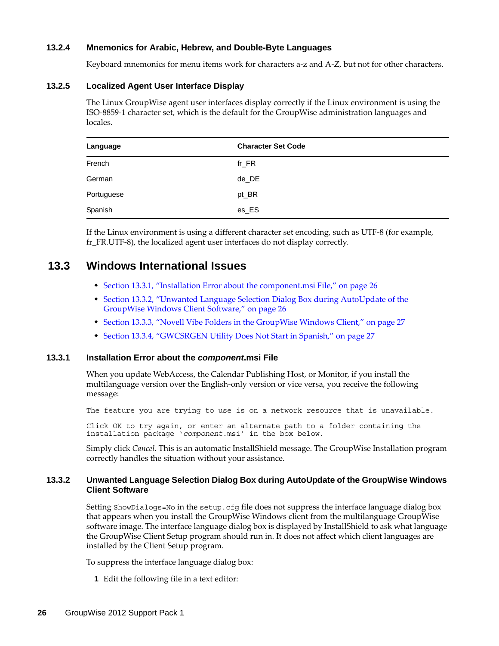#### <span id="page-25-1"></span>**13.2.4 Mnemonics for Arabic, Hebrew, and Double-Byte Languages**

Keyboard mnemonics for menu items work for characters a-z and A-Z, but not for other characters.

#### <span id="page-25-2"></span>**13.2.5 Localized Agent User Interface Display**

The Linux GroupWise agent user interfaces display correctly if the Linux environment is using the ISO-8859-1 character set, which is the default for the GroupWise administration languages and locales.

| Language   | <b>Character Set Code</b> |
|------------|---------------------------|
| French     | $fr_F$ R                  |
| German     | de_DE                     |
| Portuguese | pt_BR                     |
| Spanish    | es_ES                     |

If the Linux environment is using a different character set encoding, such as UTF-8 (for example, fr\_FR.UTF-8), the localized agent user interfaces do not display correctly.

### <span id="page-25-0"></span>**13.3 Windows International Issues**

- [Section 13.3.1, "Installation Error about the component.msi File," on page 26](#page-25-3)
- [Section 13.3.2, "Unwanted Language Selection Dialog Box during AutoUpdate of the](#page-25-4)  [GroupWise Windows Client Software," on page 26](#page-25-4)
- [Section 13.3.3, "Novell Vibe Folders in the GroupWise Windows Client," on page 27](#page-26-1)
- [Section 13.3.4, "GWCSRGEN Utility Does Not Start in Spanish," on page 27](#page-26-0)

#### <span id="page-25-3"></span>**13.3.1 Installation Error about the** *component***.msi File**

When you update WebAccess, the Calendar Publishing Host, or Monitor, if you install the multilanguage version over the English-only version or vice versa, you receive the following message:

The feature you are trying to use is on a network resource that is unavailable.

Click OK to try again, or enter an alternate path to a folder containing the installation package '*component*.msi' in the box below.

Simply click *Cancel*. This is an automatic InstallShield message. The GroupWise Installation program correctly handles the situation without your assistance.

#### <span id="page-25-4"></span>**13.3.2 Unwanted Language Selection Dialog Box during AutoUpdate of the GroupWise Windows Client Software**

Setting ShowDialogs=No in the setup.cfg file does not suppress the interface language dialog box that appears when you install the GroupWise Windows client from the multilanguage GroupWise software image. The interface language dialog box is displayed by InstallShield to ask what language the GroupWise Client Setup program should run in. It does not affect which client languages are installed by the Client Setup program.

To suppress the interface language dialog box:

**1** Edit the following file in a text editor: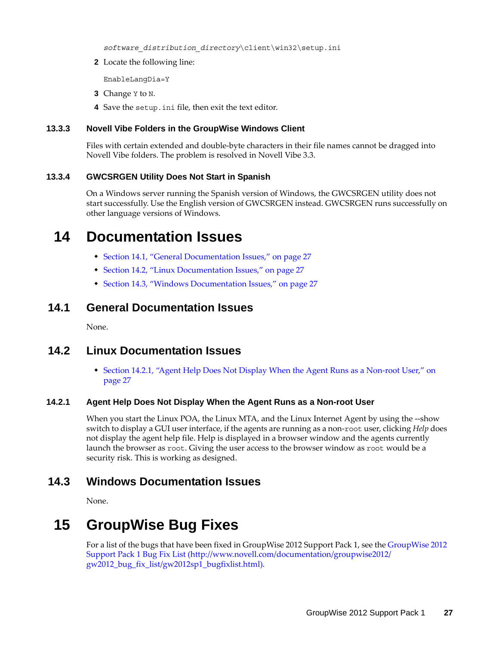*software\_distribution\_directory*\client\win32\setup.ini

**2** Locate the following line:

EnableLangDia=Y

- **3** Change Y to N.
- **4** Save the setup.ini file, then exit the text editor.

#### <span id="page-26-1"></span>**13.3.3 Novell Vibe Folders in the GroupWise Windows Client**

Files with certain extended and double-byte characters in their file names cannot be dragged into Novell Vibe folders. The problem is resolved in Novell Vibe 3.3.

#### <span id="page-26-0"></span>**13.3.4 GWCSRGEN Utility Does Not Start in Spanish**

On a Windows server running the Spanish version of Windows, the GWCSRGEN utility does not start successfully. Use the English version of GWCSRGEN instead. GWCSRGEN runs successfully on other language versions of Windows.

## **14 Documentation Issues**

- [Section 14.1, "General Documentation Issues," on page 27](#page-26-2)
- [Section 14.2, "Linux Documentation Issues," on page 27](#page-26-3)
- [Section 14.3, "Windows Documentation Issues," on page 27](#page-26-4)

### <span id="page-26-2"></span>**14.1 General Documentation Issues**

None.

## <span id="page-26-3"></span>**14.2 Linux Documentation Issues**

 [Section 14.2.1, "Agent Help Does Not Display When the Agent Runs as a Non-root User," on](#page-26-5)  [page 27](#page-26-5)

#### <span id="page-26-5"></span>**14.2.1 Agent Help Does Not Display When the Agent Runs as a Non-root User**

When you start the Linux POA, the Linux MTA, and the Linux Internet Agent by using the --show switch to display a GUI user interface, if the agents are running as a non-root user, clicking *Help* does not display the agent help file. Help is displayed in a browser window and the agents currently launch the browser as root. Giving the user access to the browser window as root would be a security risk. This is working as designed.

## <span id="page-26-4"></span>**14.3 Windows Documentation Issues**

None.

# **15 GroupWise Bug Fixes**

For a list of the bugs that have been fixed in GroupWise 2012 Support Pack 1, see the [GroupWise 2012](http://www.novell.com/documentation/groupwise2012/gw2012_bug_fix_list/gw2012sp1_bugfixlist.html)  [Support Pack 1 Bug Fix List](http://www.novell.com/documentation/groupwise2012/gw2012_bug_fix_list/gw2012sp1_bugfixlist.html) (http://www.novell.com/documentation/groupwise2012/ gw2012\_bug\_fix\_list/gw2012sp1\_bugfixlist.html).